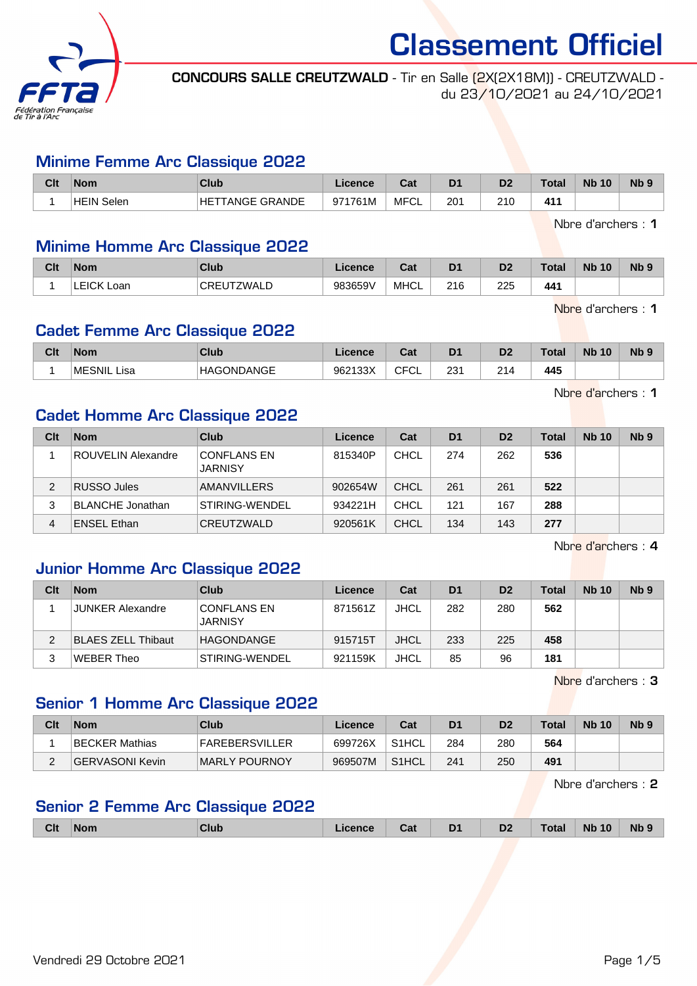

CONCOURS SALLE CREUTZWALD - Tir en Salle (2X(2X18M)) - CREUTZWALD du 23/10/2021 au 24/10/2021

#### Minime Femme Arc Classique 2022

| Clt | <b>Nom</b>  | Club                | Licence | r.,<br>⊍aι | D <sub>1</sub> | D <sub>2</sub> | $\tau$ <sub>otal</sub> | <b>N<sub>b</sub></b><br>10 | N <sub>b</sub> 9 |
|-----|-------------|---------------------|---------|------------|----------------|----------------|------------------------|----------------------------|------------------|
|     | ⊺HEIN Selen | FANGE GRANDE<br>HE. | 971761M | MFCL       | 201            | 21C            | 41'                    |                            |                  |

Nbre d'archers : 1

#### Minime Homme Arc Classique 2022

| Clt | <b>Nom</b>           | Club          | Licence | <b>Date</b><br>uai | D <sub>1</sub> | D <sub>2</sub> | <b>Total</b> | <b>Nb</b><br>10 | N <sub>b</sub> <sub>9</sub> |
|-----|----------------------|---------------|---------|--------------------|----------------|----------------|--------------|-----------------|-----------------------------|
|     | <b>LEICK</b><br>Loan | ZWALD<br>CREU | 983659V | <b>MHCL</b>        | 216            | 225            | 441          |                 |                             |

Nbre d'archers : 1

## Cadet Femme Arc Classique 2022

| Clt | <b>Nom</b>  | Club                  | Licence | Tot.<br>Jai               | D <sub>1</sub>        | D <sub>7</sub><br>ש | Total         | <b>Nb</b><br>10 | N <sub>b</sub> <sub>9</sub> |
|-----|-------------|-----------------------|---------|---------------------------|-----------------------|---------------------|---------------|-----------------|-----------------------------|
|     | MESNIL Lisa | ONDANGE<br><b>HAG</b> | 962133X | $\sim$ $\sim$<br>ັບ∟<br>ັ | י מרי<br>دے<br>$\sim$ | 214                 | 445<br>$\sim$ |                 |                             |

Nbre d'archers : 1

#### Cadet Homme Arc Classique 2022

| Clt | <b>Nom</b>              | Club                                 | Licence | Cat         | D <sub>1</sub> | D <sub>2</sub> | Total | <b>Nb 10</b> | Nb <sub>9</sub> |
|-----|-------------------------|--------------------------------------|---------|-------------|----------------|----------------|-------|--------------|-----------------|
|     | ROUVELIN Alexandre      | <b>CONFLANS EN</b><br><b>JARNISY</b> | 815340P | <b>CHCL</b> | 274            | 262            | 536   |              |                 |
| 2   | <b>RUSSO Jules</b>      | AMANVILLERS                          | 902654W | <b>CHCL</b> | 261            | 261            | 522   |              |                 |
|     | <b>BLANCHE</b> Jonathan | STIRING-WENDEL                       | 934221H | CHCL        | 121            | 167            | 288   |              |                 |
| 4   | <b>ENSEL Ethan</b>      | CREUTZWALD                           | 920561K | CHCL        | 134            | 143            | 277   |              |                 |

Nbre d'archers : 4

#### Junior Homme Arc Classique 2022

| Clt | <b>Nom</b>                | <b>Club</b>                          | Licence | Cat         | D <sub>1</sub> | D <sub>2</sub> | Total | <b>Nb 10</b> | N <sub>b</sub> <sub>9</sub> |
|-----|---------------------------|--------------------------------------|---------|-------------|----------------|----------------|-------|--------------|-----------------------------|
|     | <b>JUNKER Alexandre</b>   | <b>CONFLANS EN</b><br><b>JARNISY</b> | 871561Z | <b>JHCL</b> | 282            | 280            | 562   |              |                             |
|     | <b>BLAES ZELL Thibaut</b> | HAGONDANGE                           | 915715T | <b>JHCL</b> | 233            | 225            | 458   |              |                             |
| 2   | WEBER Theo                | STIRING-WENDEL                       | 921159K | <b>JHCL</b> | 85             | 96             | 181   |              |                             |

Nbre d'archers : 3

## Senior 1 Homme Arc Classique 2022

| Clt | <b>Nom</b>      | Club                  | Licence | Cat                | D <sub>1</sub> | D2  | Total | <b>Nb 10</b> | N <sub>b</sub> 9 |
|-----|-----------------|-----------------------|---------|--------------------|----------------|-----|-------|--------------|------------------|
|     | BECKER Mathias  | <b>FAREBERSVILLER</b> | 699726X | S <sub>1</sub> HCL | 284            | 280 | 564   |              |                  |
|     | GERVASONI Kevin | MARLY POURNOY         | 969507M | S1HCL              | 241            | 250 | 491   |              |                  |

Nbre d'archers : 2

#### Senior 2 Femme Arc Classique 2022

|  | <b>Clt</b> | $\blacksquare$ Nom | Club | .icence | Cat | D <sub>1</sub> | D <sub>2</sub><br>$ -$ | Total | <b>Nb 10</b> | Nb <sub>9</sub> |
|--|------------|--------------------|------|---------|-----|----------------|------------------------|-------|--------------|-----------------|
|--|------------|--------------------|------|---------|-----|----------------|------------------------|-------|--------------|-----------------|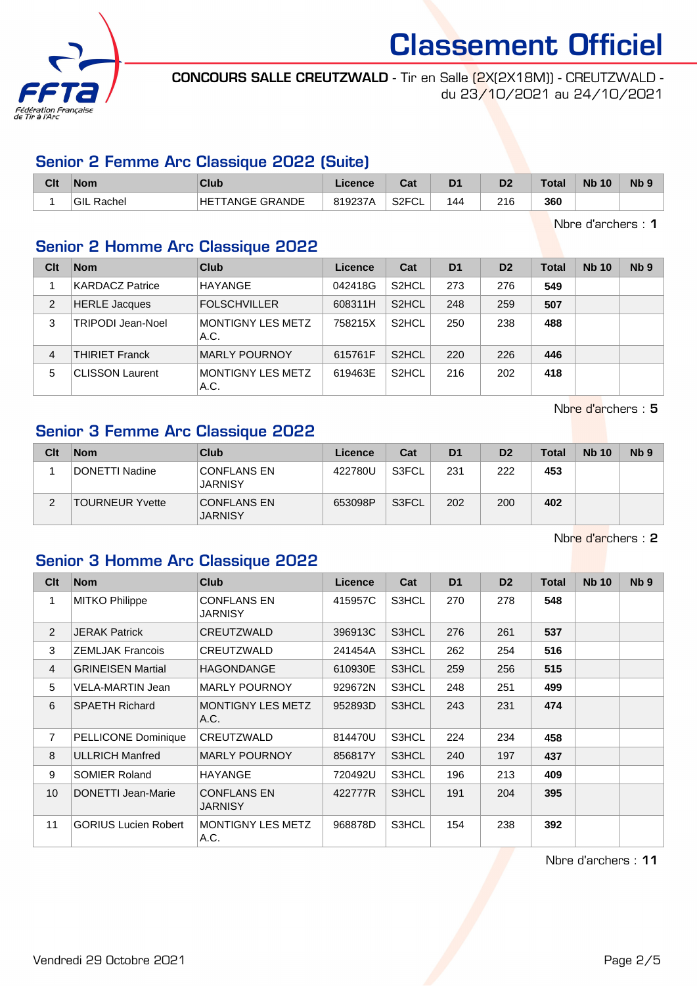

CONCOURS SALLE CREUTZWALD - Tir en Salle (2X(2X18M)) - CREUTZWALD du 23/10/2021 au 24/10/2021

### Senior 2 Femme Arc Classique 2022 (Suite)

| Clt | Nom               | Club                       | Licence | ◠∼<br>⊍aι          | D <sub>1</sub> | D <sub>2</sub> | <b>Total</b> | <b>N<sub>b</sub></b><br>10 | N <sub>b</sub> 9 |
|-----|-------------------|----------------------------|---------|--------------------|----------------|----------------|--------------|----------------------------|------------------|
|     | <b>GIL Rachel</b> | <b>FANGE GRANDE</b><br>HET | 819237A | S <sub>2</sub> FCL | 144            | 216            | 360          |                            |                  |

Nbre d'archers : 1

### Senior 2 Homme Arc Classique 2022

| Clt | <b>Nom</b>             | Club                             | Licence | Cat                | D <sub>1</sub> | D <sub>2</sub> | <b>Total</b> | <b>Nb 10</b> | N <sub>b</sub> <sub>9</sub> |
|-----|------------------------|----------------------------------|---------|--------------------|----------------|----------------|--------------|--------------|-----------------------------|
|     | <b>KARDACZ Patrice</b> | <b>HAYANGE</b>                   | 042418G | S <sub>2</sub> HCL | 273            | 276            | 549          |              |                             |
| 2   | <b>HERLE Jacques</b>   | <b>FOLSCHVILLER</b>              | 608311H | S <sub>2</sub> HCL | 248            | 259            | 507          |              |                             |
| 3   | TRIPODI Jean-Noel      | <b>MONTIGNY LES METZ</b><br>A.C. | 758215X | S <sub>2</sub> HCL | 250            | 238            | 488          |              |                             |
| 4   | <b>THIRIET Franck</b>  | <b>MARLY POURNOY</b>             | 615761F | S <sub>2</sub> HCL | 220            | 226            | 446          |              |                             |
| 5   | <b>CLISSON Laurent</b> | <b>MONTIGNY LES METZ</b><br>A.C. | 619463E | S <sub>2</sub> HCL | 216            | 202            | 418          |              |                             |

Nbre d'archers : 5

## Senior 3 Femme Arc Classique 2022

| Clt | <b>Nom</b>             | Club                                 | Licence | Cat   | D <sub>1</sub> | D <sub>2</sub> | <b>Total</b> | <b>Nb 10</b> | Nb <sub>9</sub> |
|-----|------------------------|--------------------------------------|---------|-------|----------------|----------------|--------------|--------------|-----------------|
|     | DONETTI Nadine         | <b>CONFLANS EN</b><br><b>JARNISY</b> | 422780U | S3FCL | 231            | 222            | 453          |              |                 |
|     | <b>TOURNEUR Yvette</b> | <b>CONFLANS EN</b><br><b>JARNISY</b> | 653098P | S3FCL | 202            | 200            | 402          |              |                 |

Nbre d'archers : 2

## Senior 3 Homme Arc Classique 2022

| Clt            | <b>Nom</b>                  | <b>Club</b>                      | <b>Licence</b> | Cat   | D <sub>1</sub> | D <sub>2</sub> | <b>Total</b> | <b>Nb 10</b> | N <sub>b</sub> <sub>9</sub> |
|----------------|-----------------------------|----------------------------------|----------------|-------|----------------|----------------|--------------|--------------|-----------------------------|
| 1              | <b>MITKO Philippe</b>       | <b>CONFLANS EN</b><br>JARNISY    | 415957C        | S3HCL | 270            | 278            | 548          |              |                             |
| 2              | <b>JERAK Patrick</b>        | CREUTZWALD                       | 396913C        | S3HCL | 276            | 261            | 537          |              |                             |
| 3              | <b>ZEMLJAK Francois</b>     | CREUTZWALD                       | 241454A        | S3HCL | 262            | 254            | 516          |              |                             |
| $\overline{4}$ | <b>GRINEISEN Martial</b>    | <b>HAGONDANGE</b>                | 610930E        | S3HCL | 259            | 256            | 515          |              |                             |
| 5              | VELA-MARTIN Jean            | <b>MARLY POURNOY</b>             | 929672N        | S3HCL | 248            | 251            | 499          |              |                             |
| 6              | <b>SPAETH Richard</b>       | <b>MONTIGNY LES METZ</b><br>A.C. | 952893D        | S3HCL | 243            | 231            | 474          |              |                             |
| $\overline{7}$ | PELLICONE Dominique         | CREUTZWALD                       | 814470U        | S3HCL | 224            | 234            | 458          |              |                             |
| 8              | <b>ULLRICH Manfred</b>      | <b>MARLY POURNOY</b>             | 856817Y        | S3HCL | 240            | 197            | 437          |              |                             |
| 9              | <b>SOMIER Roland</b>        | <b>HAYANGE</b>                   | 720492U        | S3HCL | 196            | 213            | 409          |              |                             |
| 10             | DONETTI Jean-Marie          | <b>CONFLANS EN</b><br>JARNISY    | 422777R        | S3HCL | 191            | 204            | 395          |              |                             |
| 11             | <b>GORIUS Lucien Robert</b> | <b>MONTIGNY LES METZ</b><br>A.C. | 968878D        | S3HCL | 154            | 238            | 392          |              |                             |

Nbre d'archers : 11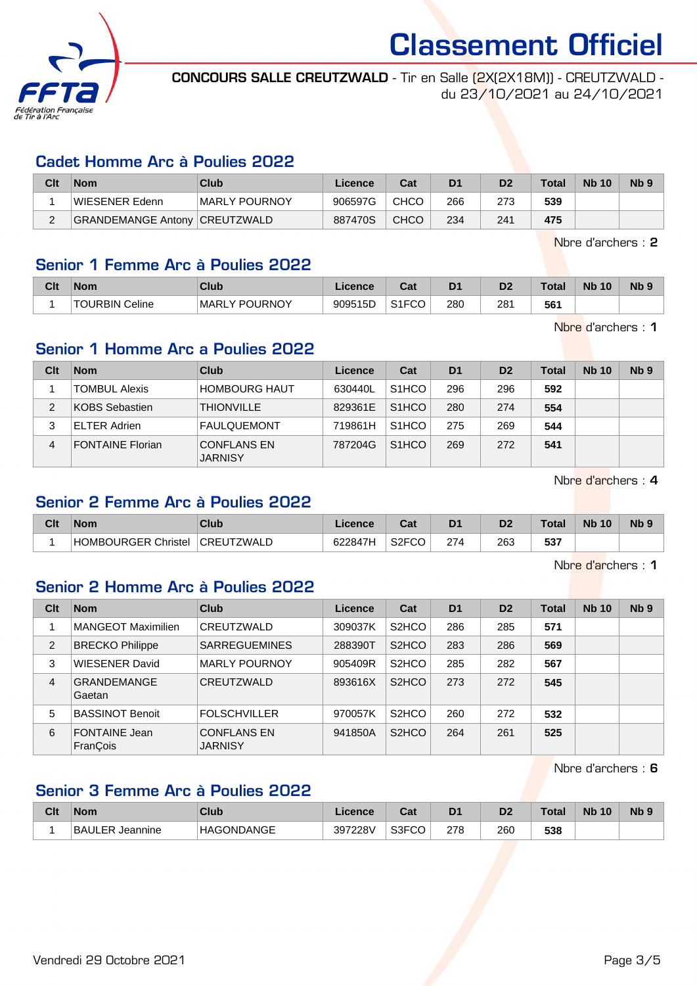

CONCOURS SALLE CREUTZWALD - Tir en Salle (2X(2X18M)) - CREUTZWALD du 23/10/2021 au 24/10/2021

#### Cadet Homme Arc à Poulies 2022

| Clt | <b>Nom</b>                    | Club          | Licence | Cat         | D1  | D <sub>2</sub> | <b>Total</b> | <b>Nb 10</b> | Nb <sub>9</sub> |
|-----|-------------------------------|---------------|---------|-------------|-----|----------------|--------------|--------------|-----------------|
|     | WIESENER Edenn                | MARLY POURNOY | 906597G | <b>CHCO</b> | 266 |                | 539          |              |                 |
|     | GRANDEMANGE Antony CREUTZWALD |               | 887470S | <b>CHCO</b> | 234 | 241            | 475          |              |                 |

Nbre d'archers : 2

#### Senior 1 Femme Arc à Poulies 2022

| Clt | <b>Nom</b>                 | Club                                             | icence  | <b>Date</b><br>⊌a⊧ | D <sub>1</sub> | D <sub>2</sub> | Total | <b>N<sub>b</sub></b><br>10 <sup>°</sup> | $Nb$ ? |
|-----|----------------------------|--------------------------------------------------|---------|--------------------|----------------|----------------|-------|-----------------------------------------|--------|
|     | <b>TOURBIN J</b><br>Celine | <b>POLIRNOY</b><br><b>MARL</b><br>$\sqrt{}$<br>. | 909515D | S1ECM<br>ا ا ب     | 280<br>$\sim$  | 281<br>$\sim$  | 561   |                                         |        |

Nbre d'archers : 1

### Senior 1 Homme Arc a Poulies 2022

| Clt | <b>Nom</b>              | Club                                 | Licence | Cat                | D <sub>1</sub> | D <sub>2</sub> | Total | <b>Nb 10</b> | Nb <sub>9</sub> |
|-----|-------------------------|--------------------------------------|---------|--------------------|----------------|----------------|-------|--------------|-----------------|
|     | <b>TOMBUL Alexis</b>    | <b>HOMBOURG HAUT</b>                 | 630440L | S <sub>1</sub> HCO | 296            | 296            | 592   |              |                 |
| 2   | <b>KOBS Sebastien</b>   | <b>THIONVILLE</b>                    | 829361E | S <sub>1</sub> HCO | 280            | 274            | 554   |              |                 |
|     | <b>ELTER Adrien</b>     | <b>FAULQUEMONT</b>                   | 719861H | S <sub>1</sub> HCO | 275            | 269            | 544   |              |                 |
| 4   | <b>FONTAINE Florian</b> | <b>CONFLANS EN</b><br><b>JARNISY</b> | 787204G | S <sub>1</sub> HCO | 269            | 272            | 541   |              |                 |

Nbre d'archers : 4

## Senior 2 Femme Arc à Poulies 2022

| Clt | <b>Nom</b>          | Club       | ∟icence | <b>Take</b><br>ual | D <sub>1</sub> | D <sub>2</sub> | <b>Total</b> | <b>N<sub>b</sub></b><br>10 | N <sub>b</sub> 9 |
|-----|---------------------|------------|---------|--------------------|----------------|----------------|--------------|----------------------------|------------------|
|     | HOMBOURGER Christel | CREUTZWALD | 622847H | S2FCC<br>ึ∪∪       | 274            | 263            | 537          |                            |                  |

Nbre d'archers : 1

### Senior 2 Homme Arc à Poulies 2022

| Clt            | <b>Nom</b>                   | Club                                 | Licence | Cat                | D <sub>1</sub> | D <sub>2</sub> | <b>Total</b> | <b>Nb 10</b> | N <sub>b</sub> <sub>9</sub> |
|----------------|------------------------------|--------------------------------------|---------|--------------------|----------------|----------------|--------------|--------------|-----------------------------|
|                | MANGEOT Maximilien           | CREUTZWALD                           | 309037K | S <sub>2</sub> HCO | 286            | 285            | 571          |              |                             |
| 2              | <b>BRECKO Philippe</b>       | <b>SARREGUEMINES</b>                 | 288390T | S <sub>2</sub> HCO | 283            | 286            | 569          |              |                             |
| 3              | <b>WIESENER David</b>        | <b>MARLY POURNOY</b>                 | 905409R | S <sub>2</sub> HCO | 285            | 282            | 567          |              |                             |
| $\overline{4}$ | <b>GRANDEMANGE</b><br>Gaetan | CREUTZWALD                           | 893616X | S <sub>2</sub> HCO | 273            | 272            | 545          |              |                             |
| 5              | <b>BASSINOT Benoit</b>       | <b>FOLSCHVILLER</b>                  | 970057K | S <sub>2</sub> HCO | 260            | 272            | 532          |              |                             |
| 6              | FONTAINE Jean<br>FranÇois    | <b>CONFLANS EN</b><br><b>JARNISY</b> | 941850A | S <sub>2</sub> HCO | 264            | 261            | 525          |              |                             |

Nbre d'archers : 6

## Senior 3 Femme Arc à Poulies 2022

| Clt | <b>Nom</b>                | Club              | Licence | ≏~∗<br>ua | D <sub>1</sub> | D <sub>2</sub> | $\tau$ otal | <b>N<sub>b</sub></b><br>10 | <b>N<sub>b</sub></b> |
|-----|---------------------------|-------------------|---------|-----------|----------------|----------------|-------------|----------------------------|----------------------|
|     | <b>BAULER</b><br>Jeannine | <b>HAGONDANGE</b> | 397228V | S3FCO     | 278            | 260            | 538         |                            |                      |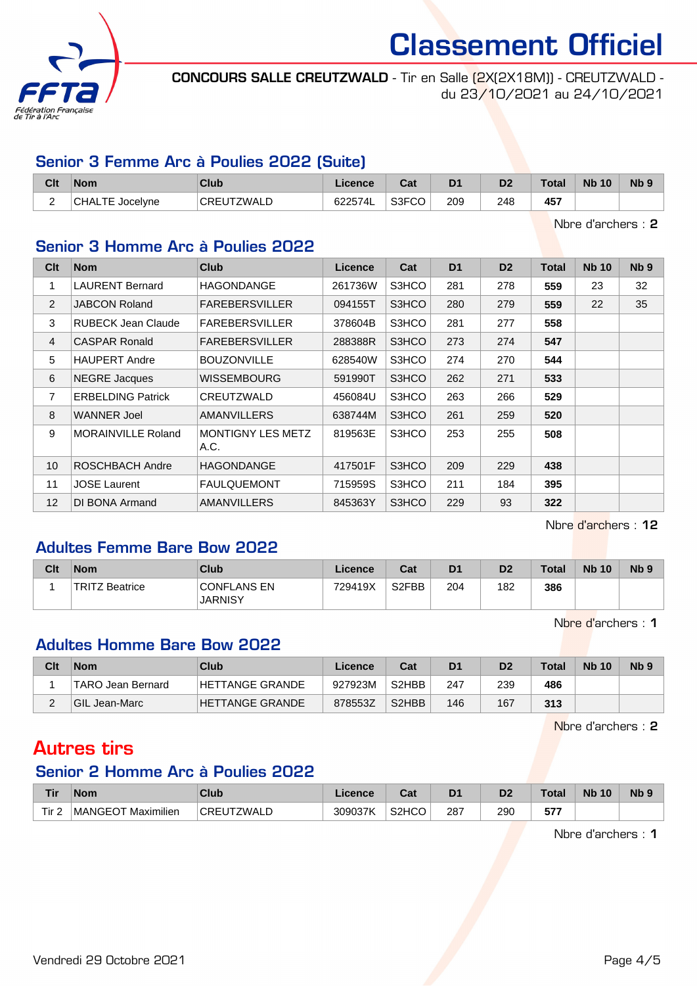

CONCOURS SALLE CREUTZWALD - Tir en Salle (2X(2X18M)) - CREUTZWALD du 23/10/2021 au 24/10/2021

#### Senior 3 Femme Arc à Poulies 2022 (Suite)

| Clt | <b>Nom</b>             | <b>Club</b> | ∟icence∶ | $R_{\rm{min}}$<br>⊌a⊧ | D <sub>1</sub> | D <sub>2</sub> | <b>Total</b> | <b>Nb 10</b> | N <sub>b</sub> 9 |
|-----|------------------------|-------------|----------|-----------------------|----------------|----------------|--------------|--------------|------------------|
| -   | <b>CHALTE Jocelyne</b> | CREUTZWALD  | 622574L  | S3FCO                 | 209            | 248            | 457          |              |                  |

Nbre d'archers : 2

### Senior 3 Homme Arc à Poulies 2022

| Clt            | <b>Nom</b>                | <b>Club</b>               | <b>Licence</b> | Cat   | D <sub>1</sub> | D <sub>2</sub> | Total | <b>Nb 10</b> | Nb <sub>9</sub> |
|----------------|---------------------------|---------------------------|----------------|-------|----------------|----------------|-------|--------------|-----------------|
| 1              | <b>LAURENT Bernard</b>    | HAGONDANGE                | 261736W        | S3HCO | 281            | 278            | 559   | 23           | 32              |
| 2              | <b>JABCON Roland</b>      | <b>FAREBERSVILLER</b>     | 094155T        | S3HCO | 280            | 279            | 559   | 22           | 35              |
| 3              | <b>RUBECK Jean Claude</b> | <b>FAREBERSVILLER</b>     | 378604B        | S3HCO | 281            | 277            | 558   |              |                 |
| $\overline{4}$ | <b>CASPAR Ronald</b>      | <b>FAREBERSVILLER</b>     | 288388R        | S3HCO | 273            | 274            | 547   |              |                 |
| 5              | <b>HAUPERT Andre</b>      | <b>BOUZONVILLE</b>        | 628540W        | S3HCO | 274            | 270            | 544   |              |                 |
| 6              | <b>NEGRE</b> Jacques      | WISSEMBOURG               | 591990T        | S3HCO | 262            | 271            | 533   |              |                 |
| 7              | <b>ERBELDING Patrick</b>  | CREUTZWALD                | 456084U        | S3HCO | 263            | 266            | 529   |              |                 |
| 8              | <b>WANNER Joel</b>        | AMANVILLERS               | 638744M        | S3HCO | 261            | 259            | 520   |              |                 |
| 9              | <b>MORAINVILLE Roland</b> | MONTIGNY LES METZ<br>A.C. | 819563E        | S3HCO | 253            | 255            | 508   |              |                 |
| 10             | ROSCHBACH Andre           | <b>HAGONDANGE</b>         | 417501F        | S3HCO | 209            | 229            | 438   |              |                 |
| 11             | <b>JOSE Laurent</b>       | <b>FAULQUEMONT</b>        | 715959S        | S3HCO | 211            | 184            | 395   |              |                 |
| 12             | DI BONA Armand            | AMANVILLERS               | 845363Y        | S3HCO | 229            | 93             | 322   |              |                 |

Nbre d'archers : 12

## Adultes Femme Bare Bow 2022

| Clt | <b>Nom</b>                 | Club                                 | Licence | Cat                | D <sub>1</sub> | D <sub>2</sub> | Total | <b>Nb 10</b> | N <sub>b</sub> <sub>9</sub> |
|-----|----------------------------|--------------------------------------|---------|--------------------|----------------|----------------|-------|--------------|-----------------------------|
|     | <b>TRITZ</b><br>' Beatrice | <b>CONFLANS EN</b><br><b>JARNISY</b> | 729419X | S <sub>2</sub> FBB | 204            | 182            | 386   |              |                             |

Nbre d'archers : 1

#### Adultes Homme Bare Bow 2022

| Clt | <b>Nom</b>               | Club            | Licence | Cat                            | D <sub>1</sub> | D2  | <b>Total</b> | <b>Nb 10</b> | Nb <sub>9</sub> |
|-----|--------------------------|-----------------|---------|--------------------------------|----------------|-----|--------------|--------------|-----------------|
|     | <b>TARO Jean Bernard</b> | HETTANGE GRANDE | 927923M | S <sub>2</sub> HBB             | 247            | 239 | 486          |              |                 |
|     | <b>GIL Jean-Marc</b>     | HETTANGE GRANDE | 878553Z | S <sub>2</sub> H <sub>BB</sub> | 146            | 167 | 313          |              |                 |

Nbre d'archers : 2

## Autres tirs

## Senior 2 Homme Arc à Poulies 2022

| <b>Tir</b>       | <b>Nom</b>         | Club                | Licence | ◠⌒:<br>uai         | D <sub>1</sub> | D2            | Total          | <b>N<sub>b</sub></b><br>10 | Nb <sub>9</sub> |
|------------------|--------------------|---------------------|---------|--------------------|----------------|---------------|----------------|----------------------------|-----------------|
| Tir <sub>2</sub> | MANGEOT Maximilien | ZWALL<br><b>CRE</b> | 309037K | S <sub>2</sub> HCO | 287<br>$-$     | 290<br>$\sim$ | ---<br>. J I . |                            |                 |

Nbre d'archers : 1